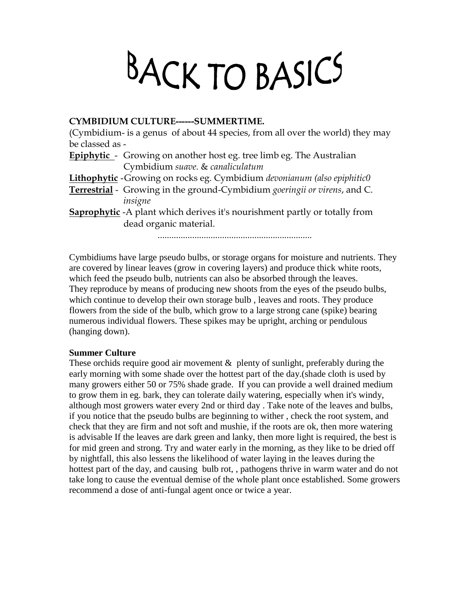## BACK TO BASICS

## **CYMBIDIUM CULTURE------SUMMERTIME.**

(Cymbidium- is a genus of about 44 species, from all over the world) they may be classed as -

**Epiphytic** - Growing on another host eg. tree limb eg. The Australian Cymbidium *suave.* & *canaliculatum*

**Lithophytic** -Growing on rocks eg. Cymbidium *devonianum (also epiphitic0*

**Terrestrial** - Growing in the ground-Cymbidium *goeringii or virens*, and C. *insigne*

**Saprophytic** -A plant which derives it's nourishment partly or totally from dead organic material.

...................................................................

Cymbidiums have large pseudo bulbs, or storage organs for moisture and nutrients. They are covered by linear leaves (grow in covering layers) and produce thick white roots, which feed the pseudo bulb, nutrients can also be absorbed through the leaves. They reproduce by means of producing new shoots from the eyes of the pseudo bulbs, which continue to develop their own storage bulb , leaves and roots. They produce flowers from the side of the bulb, which grow to a large strong cane (spike) bearing numerous individual flowers. These spikes may be upright, arching or pendulous (hanging down).

## **Summer Culture**

These orchids require good air movement & plenty of sunlight, preferably during the early morning with some shade over the hottest part of the day.(shade cloth is used by many growers either 50 or 75% shade grade. If you can provide a well drained medium to grow them in eg. bark, they can tolerate daily watering, especially when it's windy, although most growers water every 2nd or third day . Take note of the leaves and bulbs, if you notice that the pseudo bulbs are beginning to wither , check the root system, and check that they are firm and not soft and mushie, if the roots are ok, then more watering is advisable If the leaves are dark green and lanky, then more light is required, the best is for mid green and strong. Try and water early in the morning, as they like to be dried off by nightfall, this also lessens the likelihood of water laying in the leaves during the hottest part of the day, and causing bulb rot, , pathogens thrive in warm water and do not take long to cause the eventual demise of the whole plant once established. Some growers recommend a dose of anti-fungal agent once or twice a year.